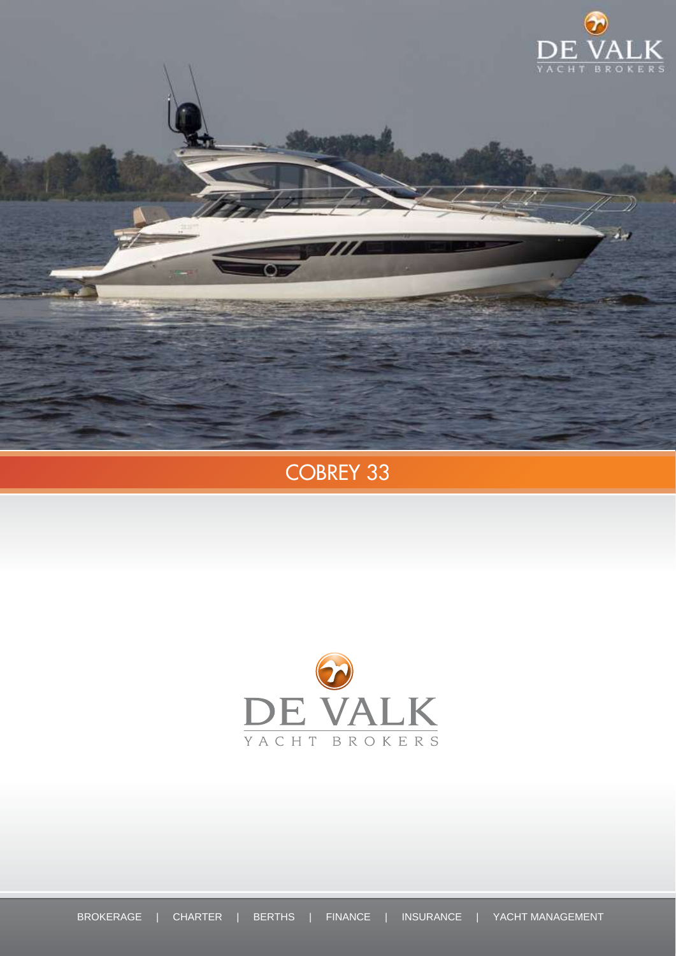

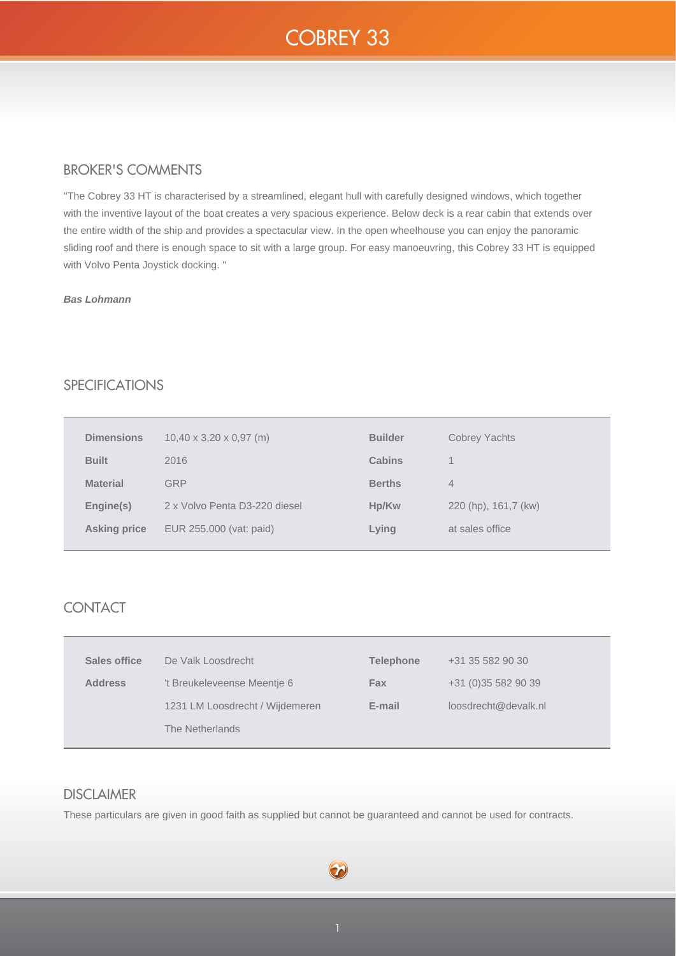

#### **BROKER'S COMMENTS**

''The Cobrey 33 HT is characterised by a streamlined, elegant hull with carefully designed windows, which together with the inventive layout of the boat creates a very spacious experience. Below deck is a rear cabin that extends over the entire width of the ship and provides a spectacular view. In the open wheelhouse you can enjoy the panoramic sliding roof and there is enough space to sit with a large group. For easy manoeuvring, this Cobrey 33 HT is equipped with Volvo Penta Joystick docking. ''

#### **Bas Lohmann**

#### **SPECIFICATIONS**

| <b>Dimensions</b>   | $10,40 \times 3,20 \times 0,97$ (m) | <b>Builder</b> | Cobrey Yachts        |
|---------------------|-------------------------------------|----------------|----------------------|
| <b>Built</b>        | 2016                                | Cabins         | 1                    |
| <b>Material</b>     | <b>GRP</b>                          | <b>Berths</b>  | $\overline{4}$       |
| Engine(s)           | 2 x Volvo Penta D3-220 diesel       | Hp/Kw          | 220 (hp), 161,7 (kw) |
| <b>Asking price</b> | EUR 255.000 (vat: paid)             | Lying          | at sales office      |
|                     |                                     |                |                      |

#### **CONTACT**

| Sales office   | De Valk Loosdrecht              | <b>Telephone</b> | +31 35 582 90 30     |
|----------------|---------------------------------|------------------|----------------------|
| <b>Address</b> | 't Breukeleveense Meentje 6     | <b>Fax</b>       | +31 (0) 35 582 90 39 |
|                | 1231 LM Loosdrecht / Wijdemeren | E-mail           | loosdrecht@devalk.nl |
|                | The Netherlands                 |                  |                      |

#### **DISCLAIMER**

These particulars are given in good faith as supplied but cannot be guaranteed and cannot be used for contracts.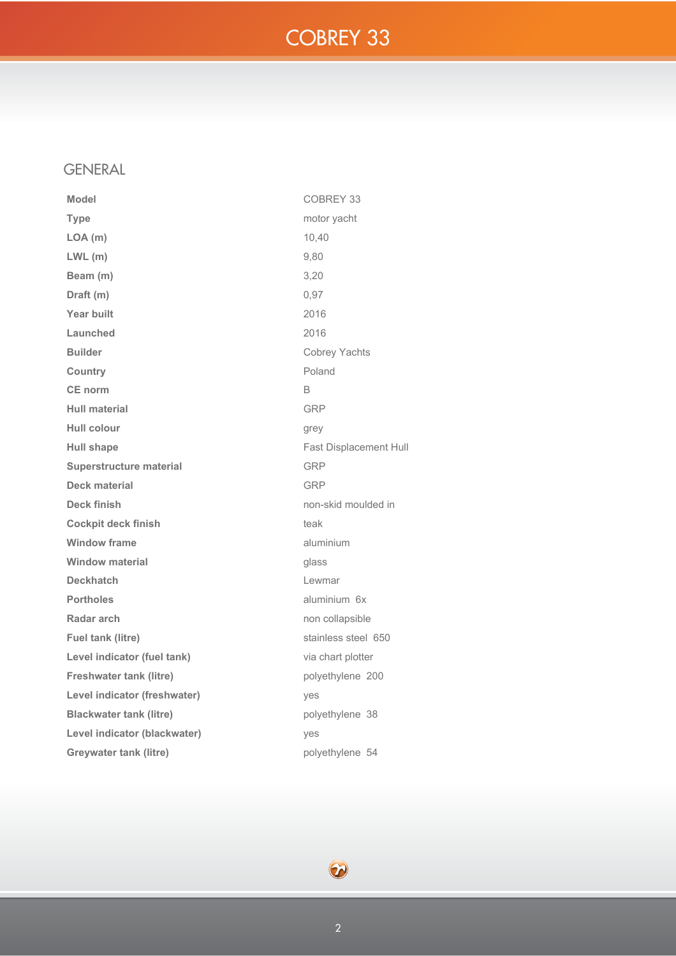#### **GENERAL**

**Model COBREY 33 Type motor yacht LOA (m) 10,40 LWL (m) 9,80 Beam (m) 3,20 Draft (m) 0,97 Year built 2016 Launched 2016 Builder Cobrey Yachts Country Poland CE norm B Hull material GRP Hull colour grey Hull shape Fast Displacement Hull Superstructure material GRP Deck material GRP Deck finish non-skid moulded in Cockpit deck finish teak Window frame aluminium Window material glass Deckhatch Lewmar Portholes aluminium 6x Radar arch non collapsible Fuel tank (litre) stainless steel 650 Level indicator (fuel tank)** via chart plotter **Freshwater tank (litre) polyethylene 200 Level indicator (freshwater) yes Blackwater tank (litre) polyethylene** 38 **Level indicator (blackwater) yes Greywater tank (litre) polyethylene** 54

 $\bm{\omega}$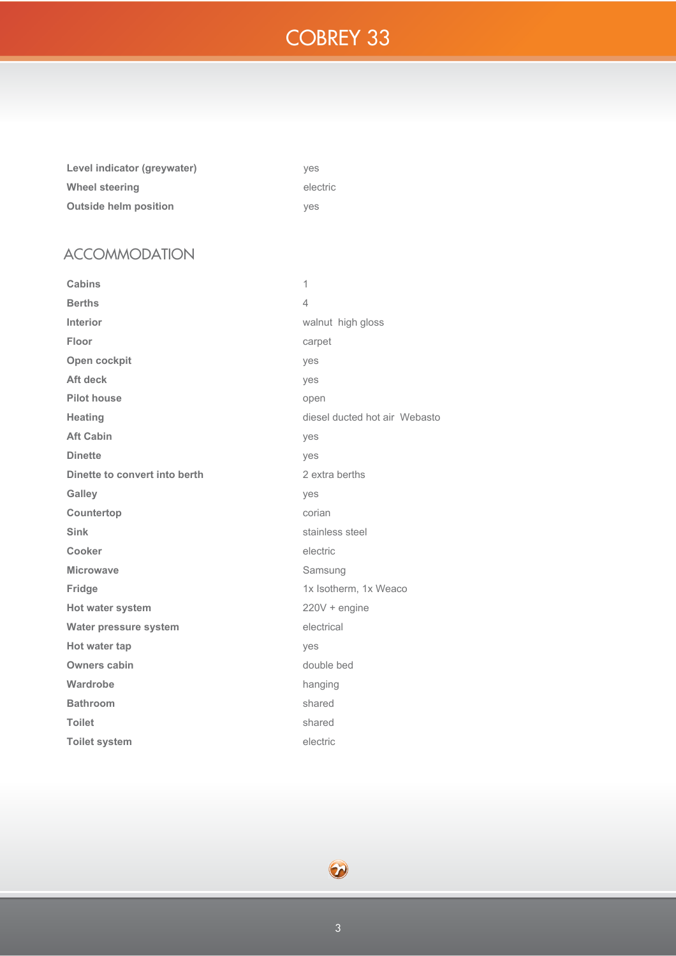| Level indicator (greywater)  | ves      |
|------------------------------|----------|
| <b>Wheel steering</b>        | electric |
| <b>Outside helm position</b> | ves      |

### **ACCOMMODATION**

| <b>Cabins</b>                 | 1                             |
|-------------------------------|-------------------------------|
| <b>Berths</b>                 | $\overline{4}$                |
| Interior                      | walnut high gloss             |
| Floor                         | carpet                        |
| Open cockpit                  | yes                           |
| Aft deck                      | yes                           |
| <b>Pilot house</b>            | open                          |
| <b>Heating</b>                | diesel ducted hot air Webasto |
| <b>Aft Cabin</b>              | yes                           |
| <b>Dinette</b>                | yes                           |
| Dinette to convert into berth | 2 extra berths                |
| <b>Galley</b>                 | yes                           |
| Countertop                    | corian                        |
| <b>Sink</b>                   | stainless steel               |
| Cooker                        | electric                      |
| <b>Microwave</b>              | Samsung                       |
| Fridge                        | 1x Isotherm, 1x Weaco         |
| Hot water system              | $220V + engine$               |
| Water pressure system         | electrical                    |
| Hot water tap                 | yes                           |
| Owners cabin                  | double bed                    |
| Wardrobe                      | hanging                       |
| <b>Bathroom</b>               | shared                        |
| <b>Toilet</b>                 | shared                        |
| <b>Toilet system</b>          | electric                      |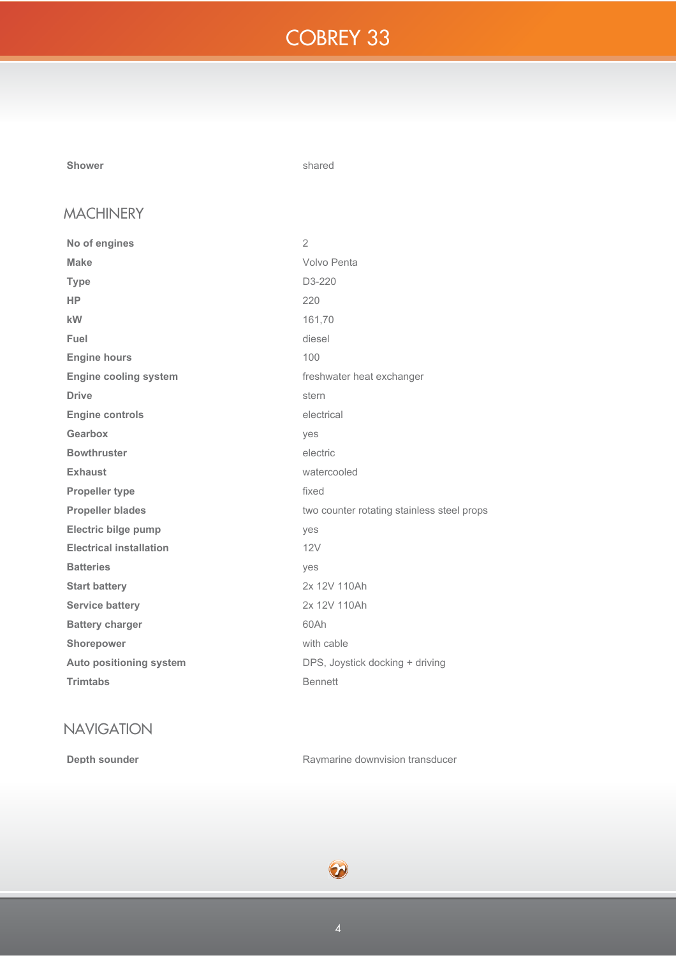#### **Shower** shared

#### **MACHINERY**

| No of engines                  | $\overline{2}$                             |
|--------------------------------|--------------------------------------------|
| <b>Make</b>                    | Volvo Penta                                |
| <b>Type</b>                    | $D3-220$                                   |
| <b>HP</b>                      | 220                                        |
| kW                             | 161,70                                     |
| Fuel                           | diesel                                     |
| <b>Engine hours</b>            | 100                                        |
| <b>Engine cooling system</b>   | freshwater heat exchanger                  |
| <b>Drive</b>                   | stern                                      |
| <b>Engine controls</b>         | electrical                                 |
| Gearbox                        | yes                                        |
| <b>Bowthruster</b>             | electric                                   |
| <b>Exhaust</b>                 | watercooled                                |
| <b>Propeller type</b>          | fixed                                      |
| <b>Propeller blades</b>        | two counter rotating stainless steel props |
| <b>Electric bilge pump</b>     | yes                                        |
| <b>Electrical installation</b> | 12V                                        |
| <b>Batteries</b>               | yes                                        |
| <b>Start battery</b>           | 2x 12V 110Ah                               |
| <b>Service battery</b>         | 2x 12V 110Ah                               |
| <b>Battery charger</b>         | 60Ah                                       |
| Shorepower                     | with cable                                 |
| Auto positioning system        | DPS, Joystick docking + driving            |
| <b>Trimtabs</b>                | <b>Bennett</b>                             |

#### **NAVIGATION**

**Depth sounder Raymarine** downvision transducer

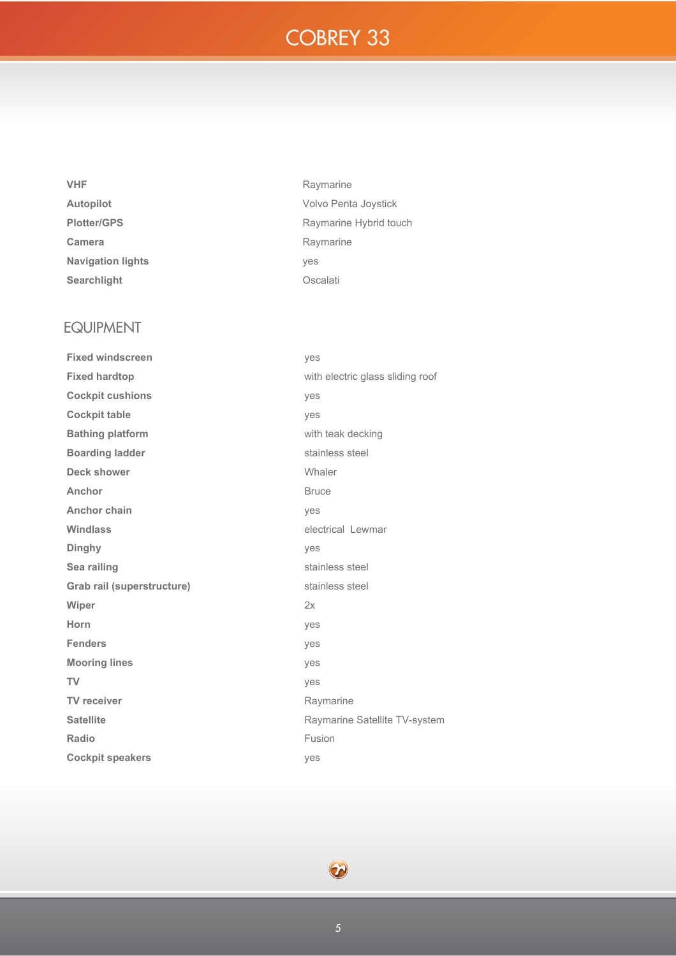| <b>VHF</b>               | Raymarine              |
|--------------------------|------------------------|
| <b>Autopilot</b>         | Volvo Penta Joystick   |
| <b>Plotter/GPS</b>       | Raymarine Hybrid touch |
| Camera                   | Raymarine              |
| <b>Navigation lights</b> | yes                    |
| <b>Searchlight</b>       | Oscalati               |
|                          |                        |

### **EQUIPMENT**

| <b>Fixed windscreen</b>    | yes                              |
|----------------------------|----------------------------------|
| <b>Fixed hardtop</b>       | with electric glass sliding roof |
| <b>Cockpit cushions</b>    | yes                              |
| <b>Cockpit table</b>       | yes                              |
| <b>Bathing platform</b>    | with teak decking                |
| <b>Boarding ladder</b>     | stainless steel                  |
| Deck shower                | Whaler                           |
| Anchor                     | <b>Bruce</b>                     |
| Anchor chain               | yes                              |
| <b>Windlass</b>            | electrical Lewmar                |
| <b>Dinghy</b>              | yes                              |
| Sea railing                | stainless steel                  |
| Grab rail (superstructure) | stainless steel                  |
| Wiper                      | 2x                               |
| Horn                       | yes                              |
| <b>Fenders</b>             | yes                              |
| <b>Mooring lines</b>       | yes                              |
| <b>TV</b>                  | yes                              |
| <b>TV receiver</b>         | Raymarine                        |
| <b>Satellite</b>           | Raymarine Satellite TV-system    |
| Radio                      | Fusion                           |
| <b>Cockpit speakers</b>    | yes                              |
|                            |                                  |

 $\bigcirc$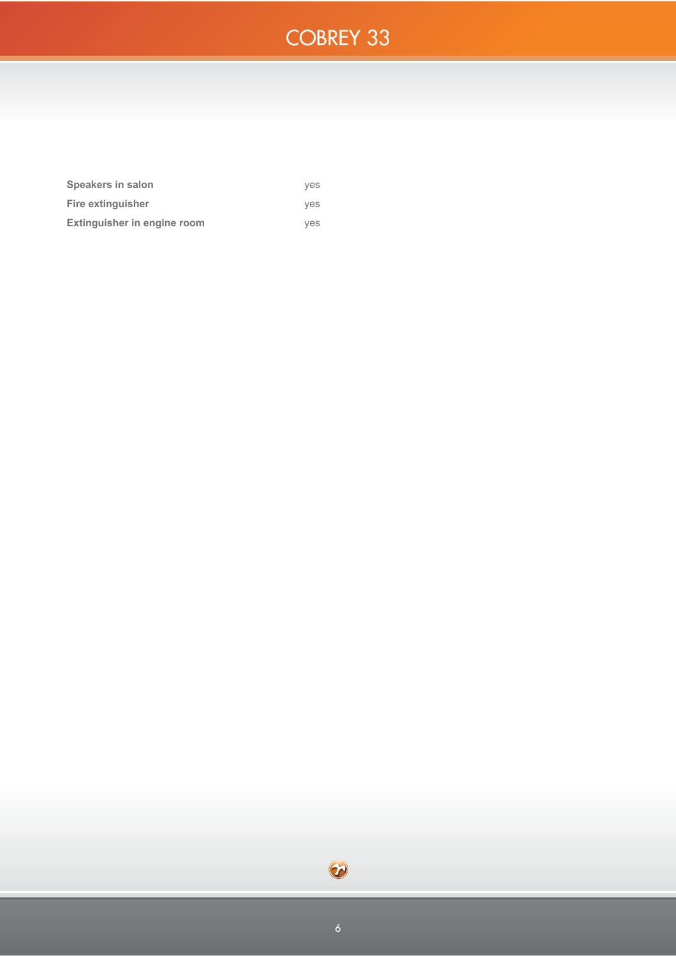| Speakers in salon           | ves |
|-----------------------------|-----|
| Fire extinguisher           | ves |
| Extinguisher in engine room | ves |

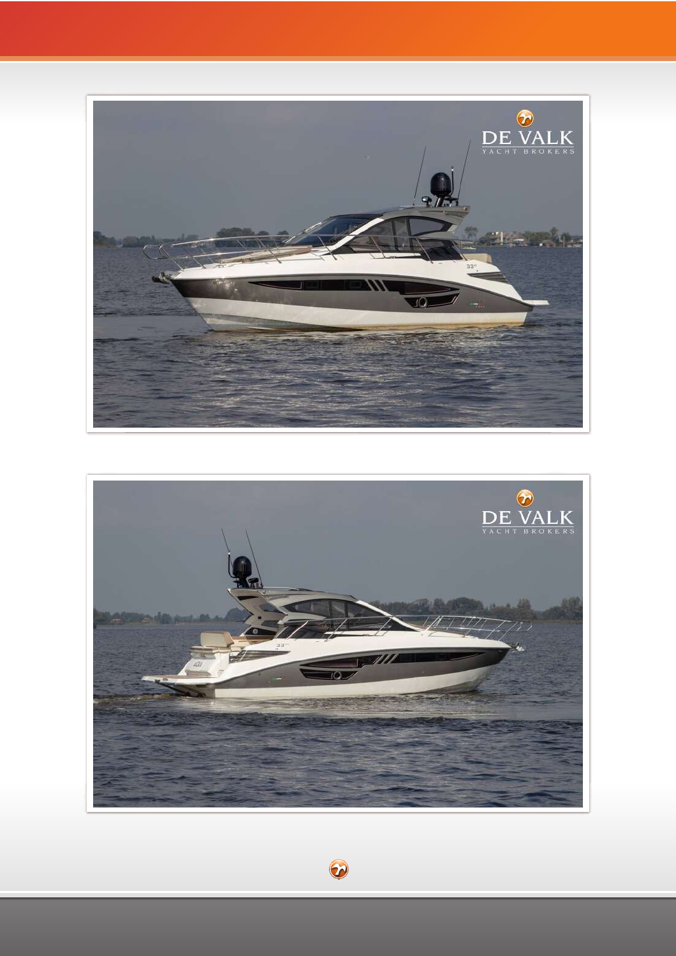$82%5$  ( <



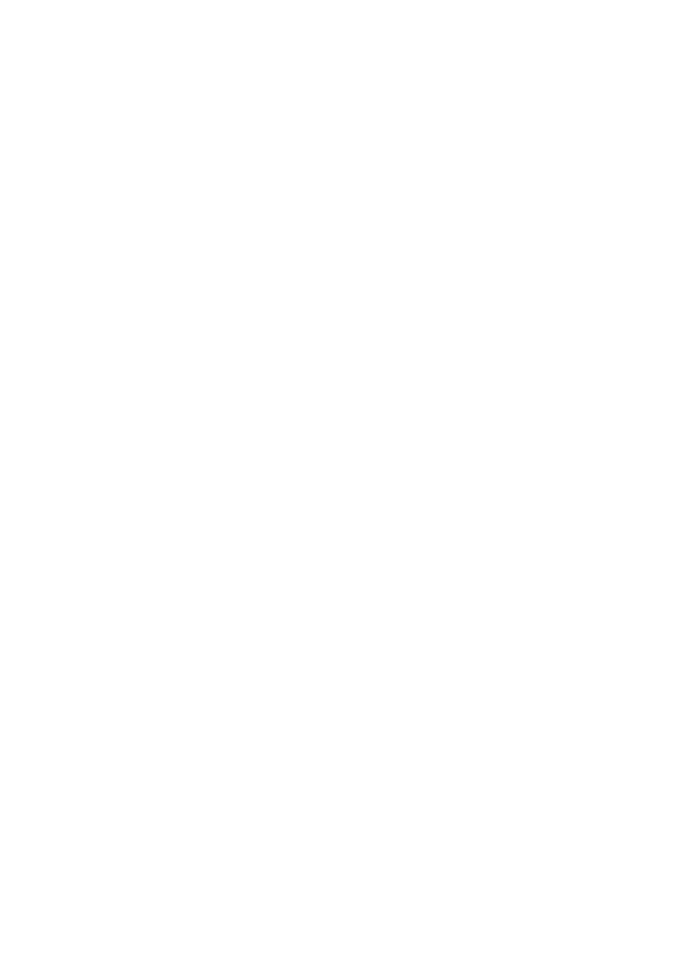| ---- |  |
|------|--|
|      |  |
|      |  |
|      |  |
|      |  |
|      |  |
|      |  |
|      |  |
|      |  |
|      |  |
|      |  |
|      |  |
|      |  |
|      |  |
|      |  |
|      |  |
|      |  |
|      |  |
|      |  |
|      |  |
|      |  |
|      |  |
|      |  |
|      |  |
|      |  |
|      |  |
|      |  |
|      |  |
|      |  |
|      |  |
|      |  |
|      |  |
|      |  |
|      |  |
|      |  |
|      |  |
|      |  |
|      |  |
|      |  |
|      |  |
|      |  |
|      |  |
|      |  |
|      |  |
|      |  |
|      |  |
|      |  |
|      |  |
|      |  |
|      |  |
|      |  |
|      |  |
|      |  |
|      |  |
|      |  |
|      |  |
|      |  |
|      |  |
|      |  |

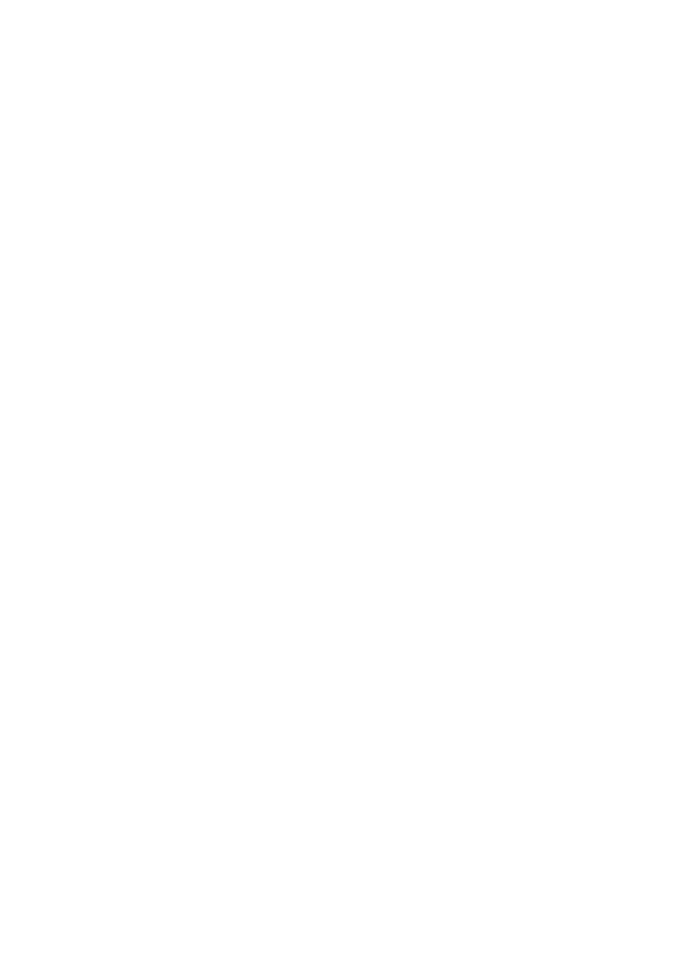| ---- |  |
|------|--|
|      |  |
|      |  |
|      |  |
|      |  |
|      |  |
|      |  |
|      |  |
|      |  |
|      |  |
|      |  |
|      |  |
|      |  |
|      |  |
|      |  |
|      |  |
|      |  |
|      |  |
|      |  |
|      |  |
|      |  |
|      |  |
|      |  |
|      |  |
|      |  |
|      |  |
|      |  |
|      |  |
|      |  |
|      |  |
|      |  |
|      |  |
|      |  |
|      |  |
|      |  |
|      |  |
|      |  |
|      |  |
|      |  |
|      |  |
|      |  |
|      |  |
|      |  |
|      |  |
|      |  |
|      |  |
|      |  |
|      |  |
|      |  |
|      |  |
|      |  |
|      |  |
|      |  |
|      |  |
|      |  |
|      |  |
|      |  |
|      |  |
|      |  |

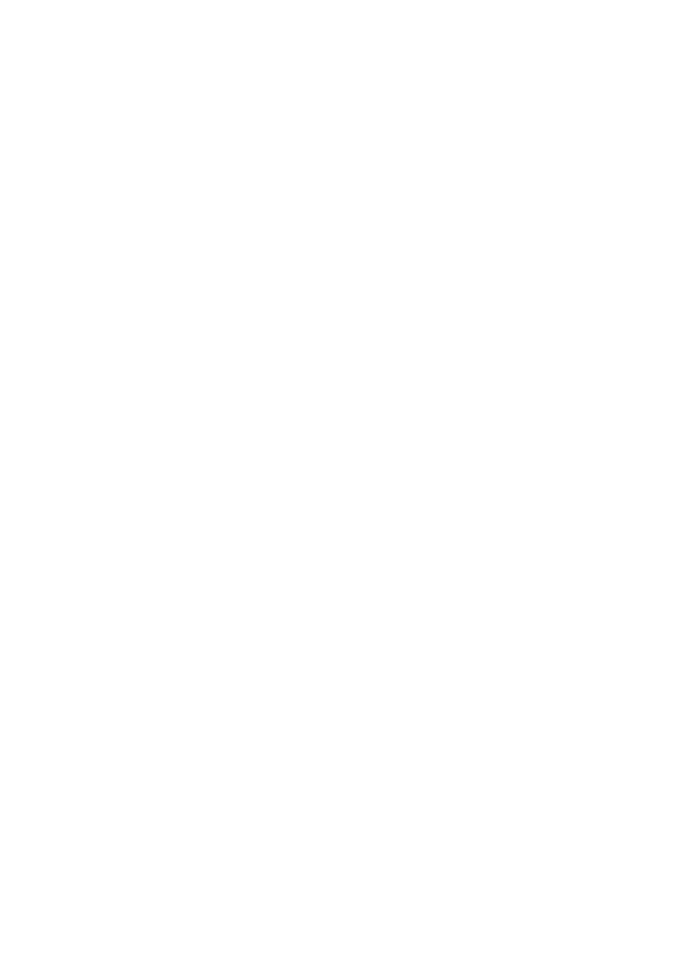| ---- |  |
|------|--|
|      |  |
|      |  |
|      |  |
|      |  |
|      |  |
|      |  |
|      |  |
|      |  |
|      |  |
|      |  |
|      |  |
|      |  |
|      |  |
|      |  |
|      |  |
|      |  |
|      |  |
|      |  |
|      |  |
|      |  |
|      |  |
|      |  |
|      |  |
|      |  |
|      |  |
|      |  |
|      |  |
|      |  |
|      |  |
|      |  |
|      |  |
|      |  |
|      |  |
|      |  |
|      |  |
|      |  |
|      |  |
|      |  |
|      |  |
|      |  |
|      |  |
|      |  |
|      |  |
|      |  |
|      |  |
|      |  |
|      |  |
|      |  |
|      |  |
|      |  |
|      |  |
|      |  |
|      |  |
|      |  |
|      |  |
|      |  |
|      |  |
|      |  |

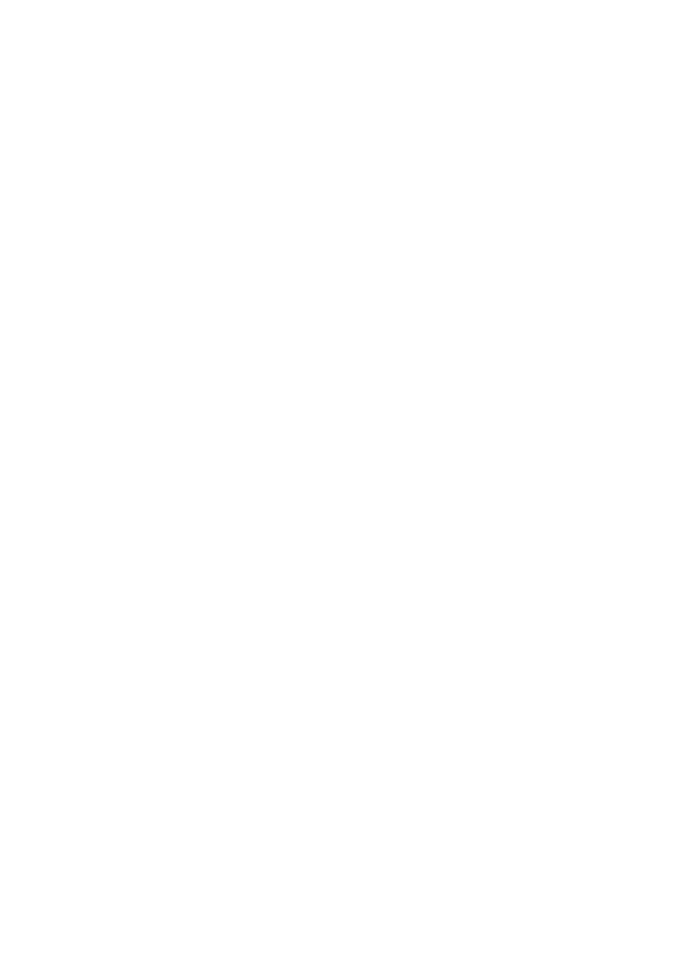| ---- |  |
|------|--|
|      |  |
|      |  |
|      |  |
|      |  |
|      |  |
|      |  |
|      |  |
|      |  |
|      |  |
|      |  |
|      |  |
|      |  |
|      |  |
|      |  |
|      |  |
|      |  |
|      |  |
|      |  |
|      |  |
|      |  |
|      |  |
|      |  |
|      |  |
|      |  |
|      |  |
|      |  |
|      |  |
|      |  |
|      |  |
|      |  |
|      |  |
|      |  |
|      |  |
|      |  |
|      |  |
|      |  |
|      |  |
|      |  |
|      |  |
|      |  |
|      |  |
|      |  |
|      |  |
|      |  |
|      |  |
|      |  |
|      |  |
|      |  |
|      |  |
|      |  |
|      |  |
|      |  |
|      |  |
|      |  |
|      |  |
|      |  |
|      |  |
|      |  |

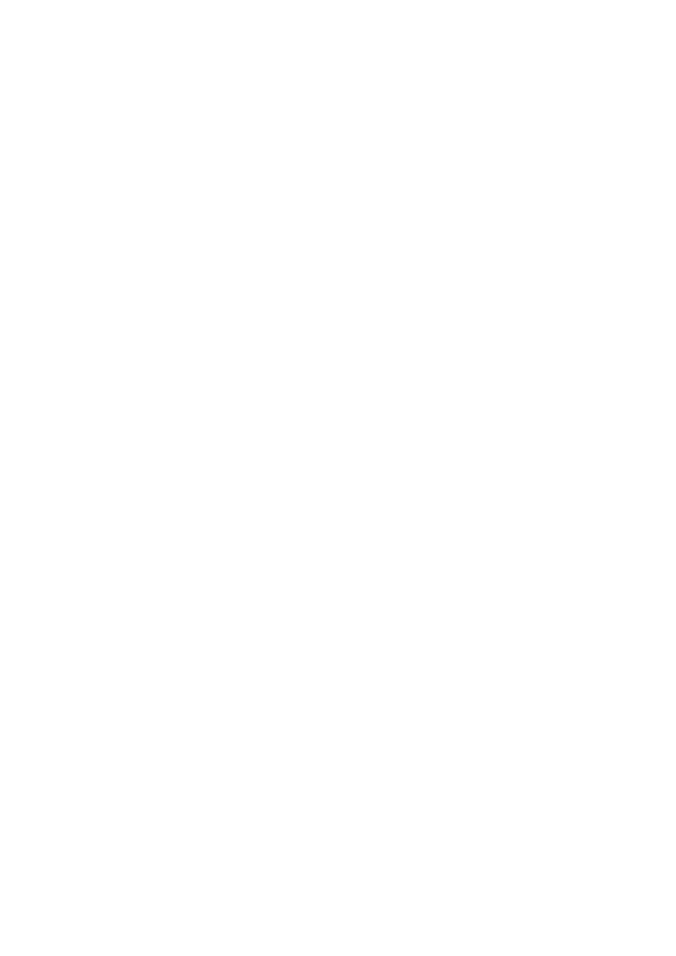| ---- |  |
|------|--|
|      |  |
|      |  |
|      |  |
|      |  |
|      |  |
|      |  |
|      |  |
|      |  |
|      |  |
|      |  |
|      |  |
|      |  |
|      |  |
|      |  |
|      |  |
|      |  |
|      |  |
|      |  |
|      |  |
|      |  |
|      |  |
|      |  |
|      |  |
|      |  |
|      |  |
|      |  |
|      |  |
|      |  |
|      |  |
|      |  |
|      |  |
|      |  |
|      |  |
|      |  |
|      |  |
|      |  |
|      |  |
|      |  |
|      |  |
|      |  |
|      |  |
|      |  |
|      |  |
|      |  |
|      |  |
|      |  |
|      |  |
|      |  |
|      |  |
|      |  |
|      |  |
|      |  |
|      |  |
|      |  |
|      |  |
|      |  |
|      |  |
|      |  |

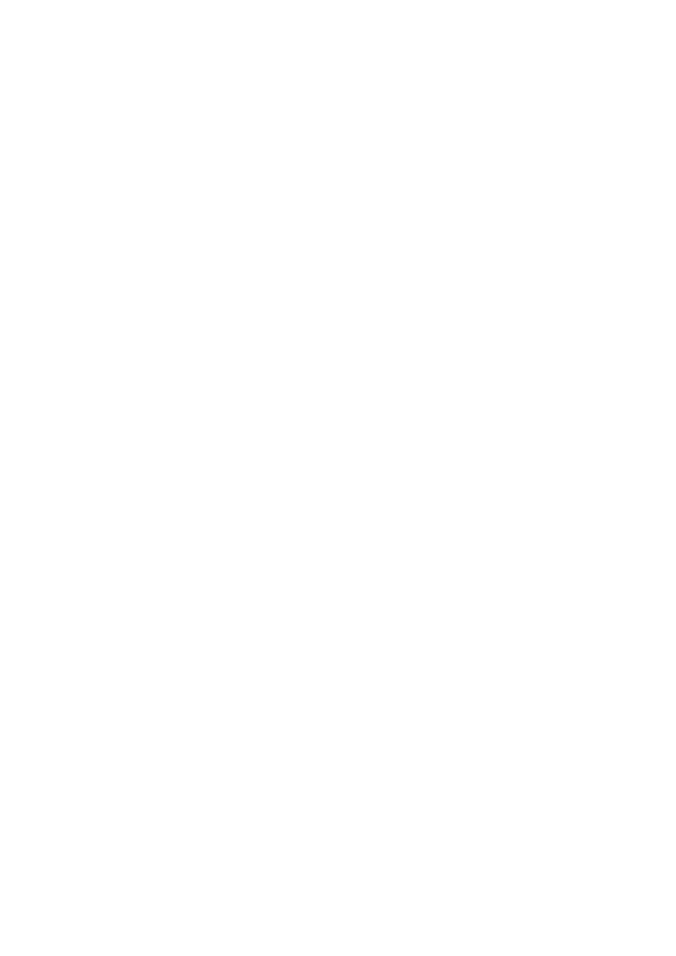| ---- |  |
|------|--|
|      |  |
|      |  |
|      |  |
|      |  |
|      |  |
|      |  |
|      |  |
|      |  |
|      |  |
|      |  |
|      |  |
|      |  |
|      |  |
|      |  |
|      |  |
|      |  |
|      |  |
|      |  |
|      |  |
|      |  |
|      |  |
|      |  |
|      |  |
|      |  |
|      |  |
|      |  |
|      |  |
|      |  |
|      |  |
|      |  |
|      |  |
|      |  |
|      |  |
|      |  |
|      |  |
|      |  |
|      |  |
|      |  |
|      |  |
|      |  |
|      |  |
|      |  |
|      |  |
|      |  |
|      |  |
|      |  |
|      |  |
|      |  |
|      |  |
|      |  |
|      |  |
|      |  |
|      |  |
|      |  |
|      |  |
|      |  |
|      |  |
|      |  |

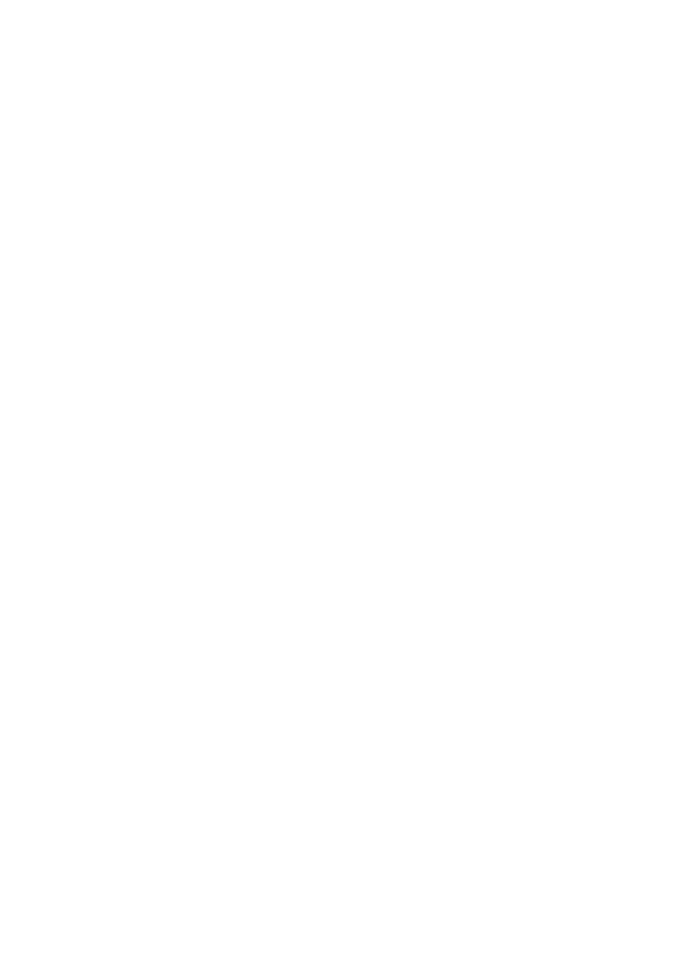| ---- |  |
|------|--|
|      |  |
|      |  |
|      |  |
|      |  |
|      |  |
|      |  |
|      |  |
|      |  |
|      |  |
|      |  |
|      |  |
|      |  |
|      |  |
|      |  |
|      |  |
|      |  |
|      |  |
|      |  |
|      |  |
|      |  |
|      |  |
|      |  |
|      |  |
|      |  |
|      |  |
|      |  |
|      |  |
|      |  |
|      |  |
|      |  |
|      |  |
|      |  |
|      |  |
|      |  |
|      |  |
|      |  |
|      |  |
|      |  |
|      |  |
|      |  |
|      |  |
|      |  |
|      |  |
|      |  |
|      |  |
|      |  |
|      |  |
|      |  |
|      |  |
|      |  |
|      |  |
|      |  |
|      |  |
|      |  |
|      |  |
|      |  |
|      |  |
|      |  |

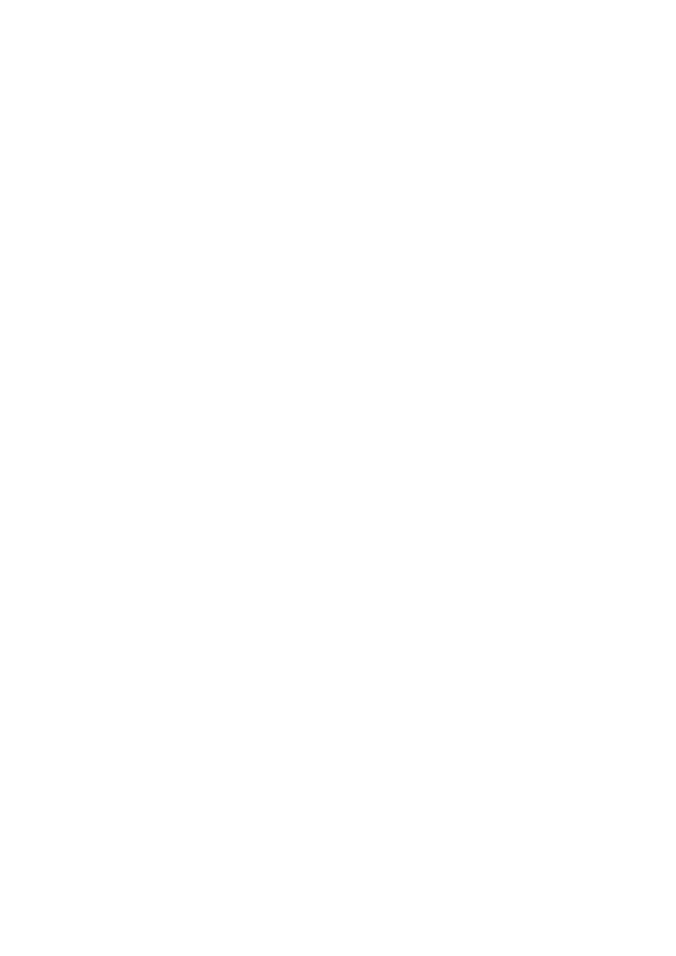| ---- |  |
|------|--|
|      |  |
|      |  |
|      |  |
|      |  |
|      |  |
|      |  |
|      |  |
|      |  |
|      |  |
|      |  |
|      |  |
|      |  |
|      |  |
|      |  |
|      |  |
|      |  |
|      |  |
|      |  |
|      |  |
|      |  |
|      |  |
|      |  |
|      |  |
|      |  |
|      |  |
|      |  |
|      |  |
|      |  |
|      |  |
|      |  |
|      |  |
|      |  |
|      |  |
|      |  |
|      |  |
|      |  |
|      |  |
|      |  |
|      |  |
|      |  |
|      |  |
|      |  |
|      |  |
|      |  |
|      |  |
|      |  |
|      |  |
|      |  |
|      |  |
|      |  |
|      |  |
|      |  |
|      |  |
|      |  |
|      |  |
|      |  |
|      |  |
|      |  |

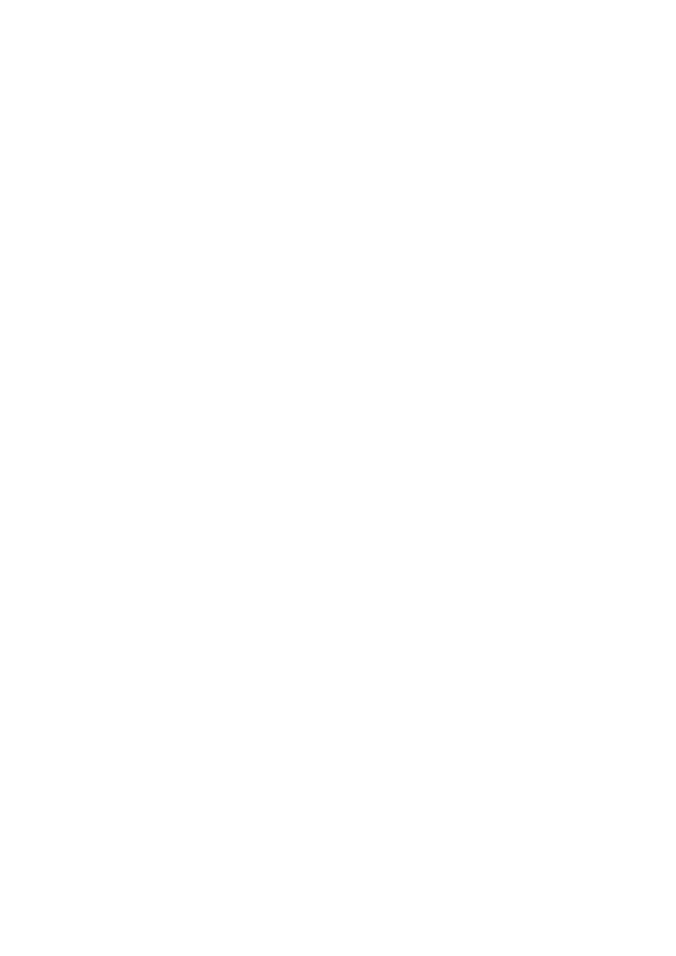| ---- |  |
|------|--|
|      |  |
|      |  |
|      |  |
|      |  |
|      |  |
|      |  |
|      |  |
|      |  |
|      |  |
|      |  |
|      |  |
|      |  |
|      |  |
|      |  |
|      |  |
|      |  |
|      |  |
|      |  |
|      |  |
|      |  |
|      |  |
|      |  |
|      |  |
|      |  |
|      |  |
|      |  |
|      |  |
|      |  |
|      |  |
|      |  |
|      |  |
|      |  |
|      |  |
|      |  |
|      |  |
|      |  |
|      |  |
|      |  |
|      |  |
|      |  |
|      |  |
|      |  |
|      |  |
|      |  |
|      |  |
|      |  |
|      |  |
|      |  |
|      |  |
|      |  |
|      |  |
|      |  |
|      |  |
|      |  |
|      |  |
|      |  |
|      |  |
|      |  |

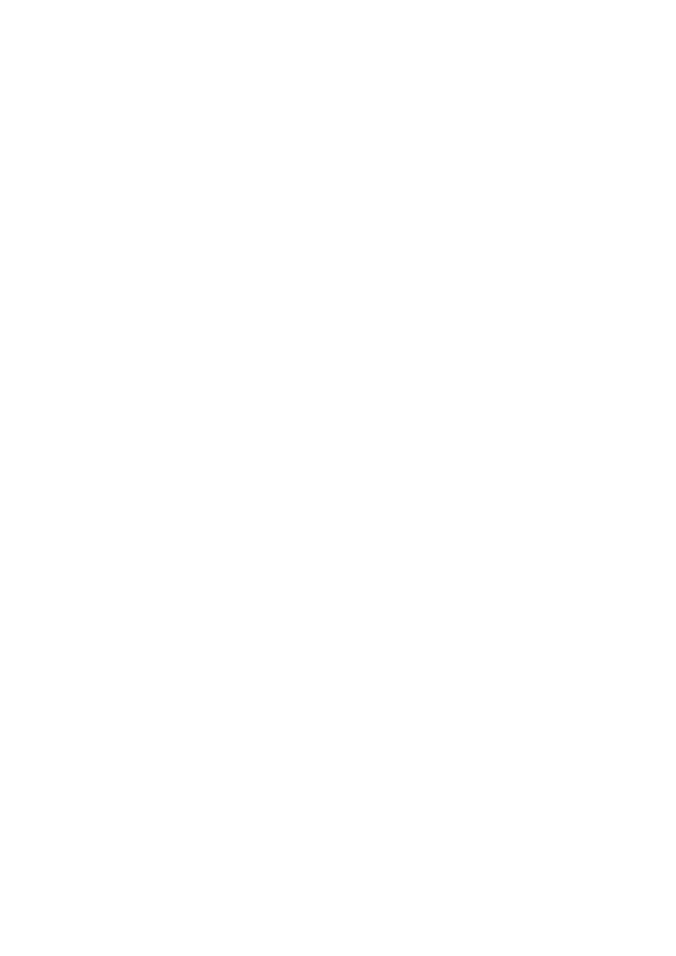| ---- |  |
|------|--|
|      |  |
|      |  |
|      |  |
|      |  |
|      |  |
|      |  |
|      |  |
|      |  |
|      |  |
|      |  |
|      |  |
|      |  |
|      |  |
|      |  |
|      |  |
|      |  |
|      |  |
|      |  |
|      |  |
|      |  |
|      |  |
|      |  |
|      |  |
|      |  |
|      |  |
|      |  |
|      |  |
|      |  |
|      |  |
|      |  |
|      |  |
|      |  |
|      |  |
|      |  |
|      |  |
|      |  |
|      |  |
|      |  |
|      |  |
|      |  |
|      |  |
|      |  |
|      |  |
|      |  |
|      |  |
|      |  |
|      |  |
|      |  |
|      |  |
|      |  |
|      |  |
|      |  |
|      |  |
|      |  |
|      |  |
|      |  |
|      |  |
|      |  |

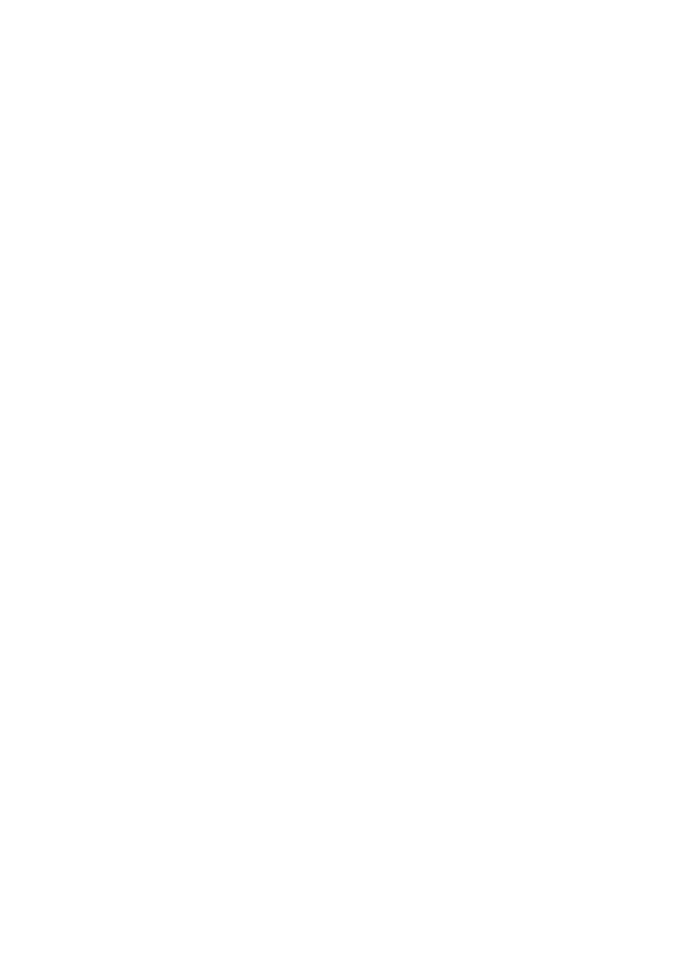| ---- |  |
|------|--|
|      |  |
|      |  |
|      |  |
|      |  |
|      |  |
|      |  |
|      |  |
|      |  |
|      |  |
|      |  |
|      |  |
|      |  |
|      |  |
|      |  |
|      |  |
|      |  |
|      |  |
|      |  |
|      |  |
|      |  |
|      |  |
|      |  |
|      |  |
|      |  |
|      |  |
|      |  |
|      |  |
|      |  |
|      |  |
|      |  |
|      |  |
|      |  |
|      |  |
|      |  |
|      |  |
|      |  |
|      |  |
|      |  |
|      |  |
|      |  |
|      |  |
|      |  |
|      |  |
|      |  |
|      |  |
|      |  |
|      |  |
|      |  |
|      |  |
|      |  |
|      |  |
|      |  |
|      |  |
|      |  |
|      |  |
|      |  |
|      |  |
|      |  |

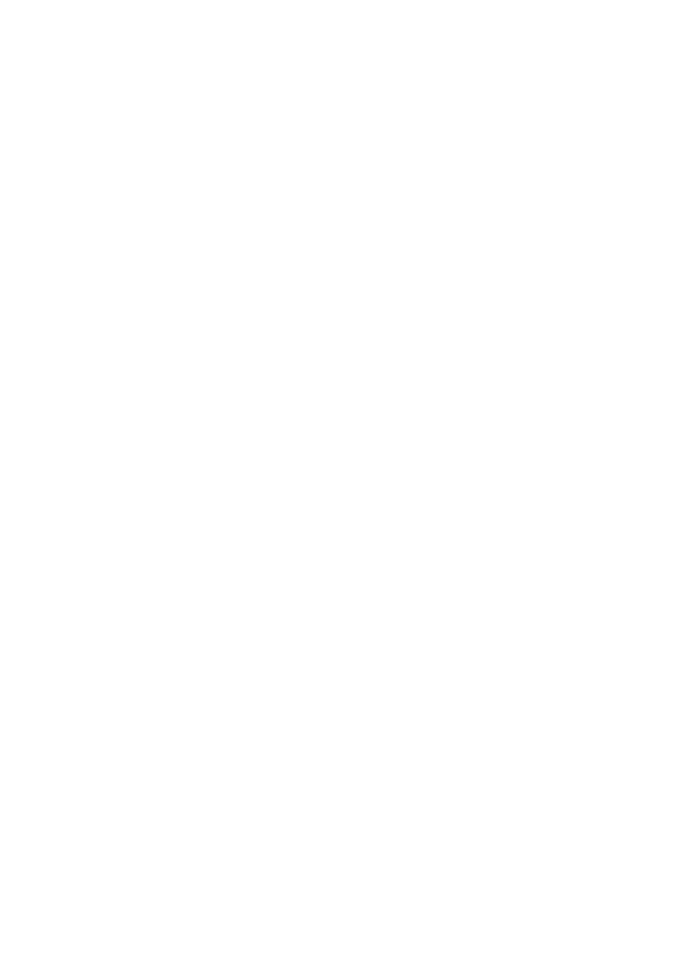| ---- |  |
|------|--|
|      |  |
|      |  |
|      |  |
|      |  |
|      |  |
|      |  |
|      |  |
|      |  |
|      |  |
|      |  |
|      |  |
|      |  |
|      |  |
|      |  |
|      |  |
|      |  |
|      |  |
|      |  |
|      |  |
|      |  |
|      |  |
|      |  |
|      |  |
|      |  |
|      |  |
|      |  |
|      |  |
|      |  |
|      |  |
|      |  |
|      |  |
|      |  |
|      |  |
|      |  |
|      |  |
|      |  |
|      |  |
|      |  |
|      |  |
|      |  |
|      |  |
|      |  |
|      |  |
|      |  |
|      |  |
|      |  |
|      |  |
|      |  |
|      |  |
|      |  |
|      |  |
|      |  |
|      |  |
|      |  |
|      |  |
|      |  |
|      |  |
|      |  |

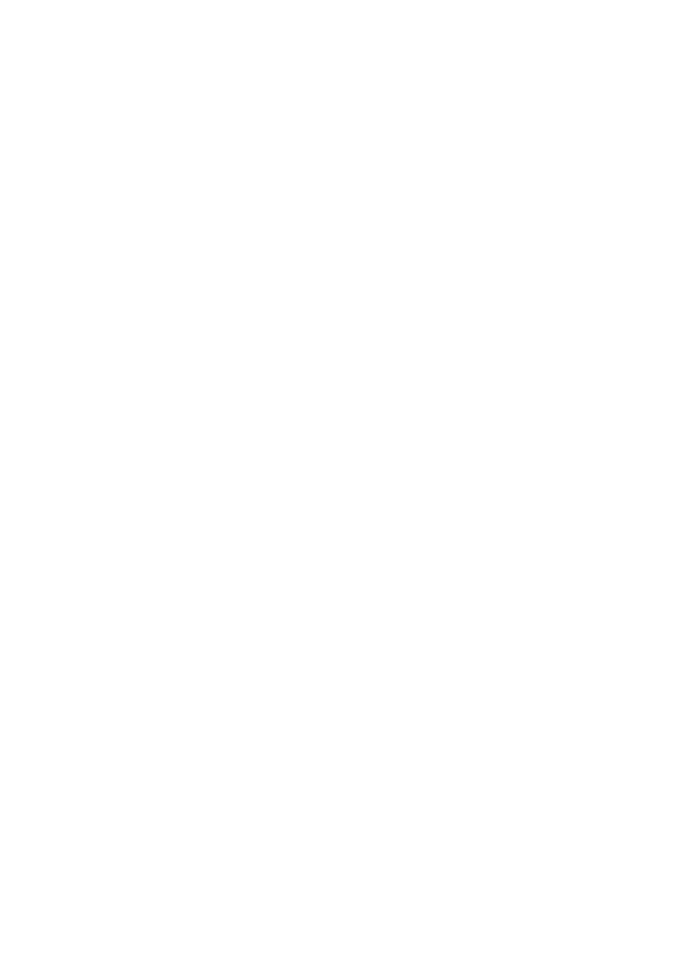| ---- |  |
|------|--|
|      |  |
|      |  |
|      |  |
|      |  |
|      |  |
|      |  |
|      |  |
|      |  |
|      |  |
|      |  |
|      |  |
|      |  |
|      |  |
|      |  |
|      |  |
|      |  |
|      |  |
|      |  |
|      |  |
|      |  |
|      |  |
|      |  |
|      |  |
|      |  |
|      |  |
|      |  |
|      |  |
|      |  |
|      |  |
|      |  |
|      |  |
|      |  |
|      |  |
|      |  |
|      |  |
|      |  |
|      |  |
|      |  |
|      |  |
|      |  |
|      |  |
|      |  |
|      |  |
|      |  |
|      |  |
|      |  |
|      |  |
|      |  |
|      |  |
|      |  |
|      |  |
|      |  |
|      |  |
|      |  |
|      |  |
|      |  |
|      |  |
|      |  |

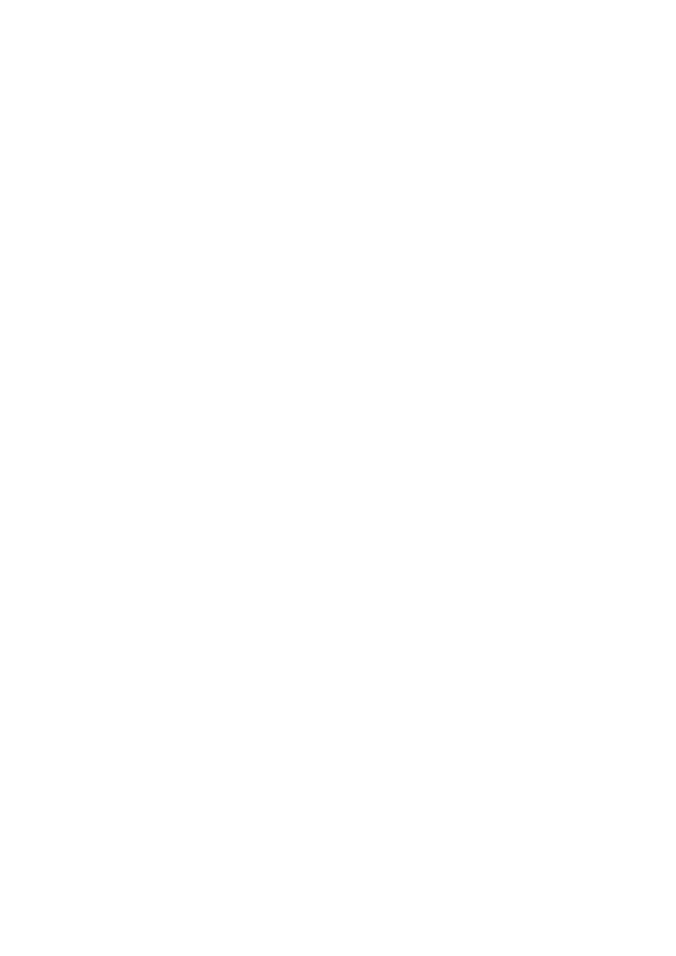| ---- |  |
|------|--|
|      |  |
|      |  |
|      |  |
|      |  |
|      |  |
|      |  |
|      |  |
|      |  |
|      |  |
|      |  |
|      |  |
|      |  |
|      |  |
|      |  |
|      |  |
|      |  |
|      |  |
|      |  |
|      |  |
|      |  |
|      |  |
|      |  |
|      |  |
|      |  |
|      |  |
|      |  |
|      |  |
|      |  |
|      |  |
|      |  |
|      |  |
|      |  |
|      |  |
|      |  |
|      |  |
|      |  |
|      |  |
|      |  |
|      |  |
|      |  |
|      |  |
|      |  |
|      |  |
|      |  |
|      |  |
|      |  |
|      |  |
|      |  |
|      |  |
|      |  |
|      |  |
|      |  |
|      |  |
|      |  |
|      |  |
|      |  |
|      |  |
|      |  |

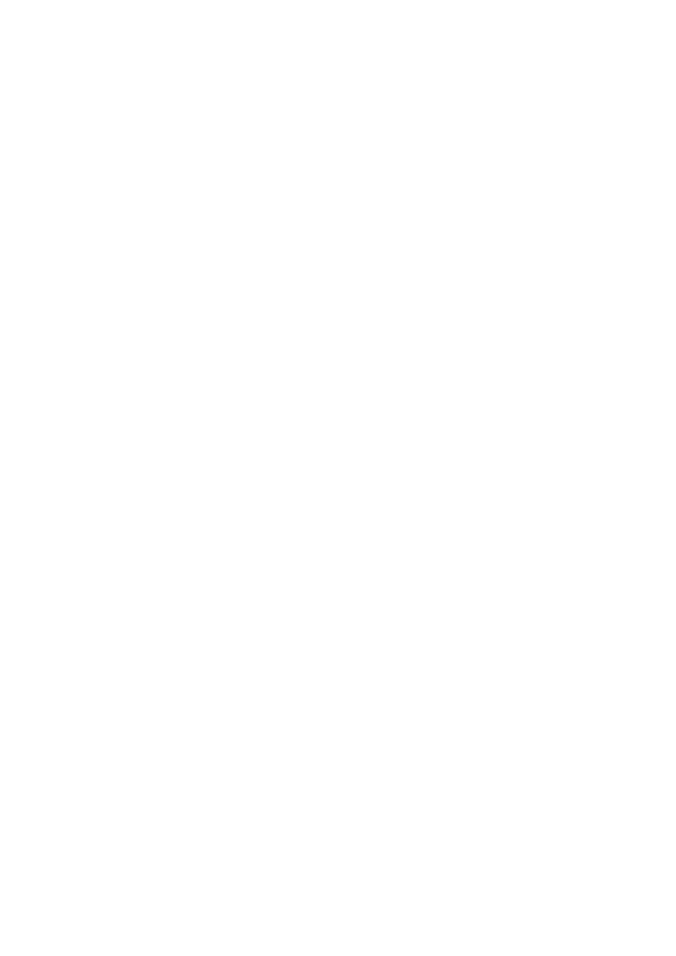| ---- |  |
|------|--|
|      |  |
|      |  |
|      |  |
|      |  |
|      |  |
|      |  |
|      |  |
|      |  |
|      |  |
|      |  |
|      |  |
|      |  |
|      |  |
|      |  |
|      |  |
|      |  |
|      |  |
|      |  |
|      |  |
|      |  |
|      |  |
|      |  |
|      |  |
|      |  |
|      |  |
|      |  |
|      |  |
|      |  |
|      |  |
|      |  |
|      |  |
|      |  |
|      |  |
|      |  |
|      |  |
|      |  |
|      |  |
|      |  |
|      |  |
|      |  |
|      |  |
|      |  |
|      |  |
|      |  |
|      |  |
|      |  |
|      |  |
|      |  |
|      |  |
|      |  |
|      |  |
|      |  |
|      |  |
|      |  |
|      |  |
|      |  |
|      |  |
|      |  |

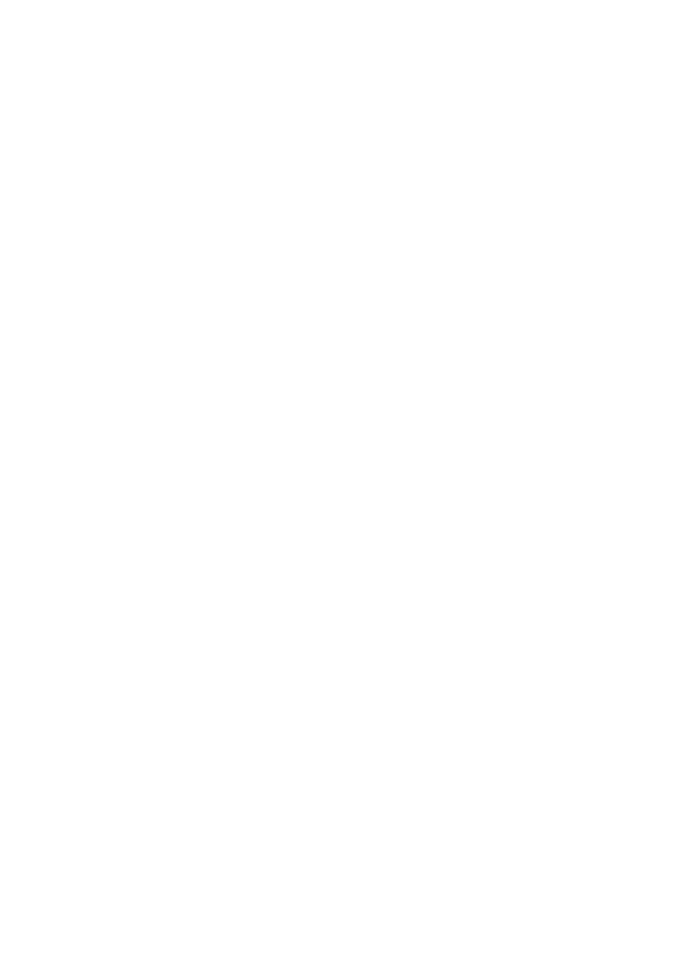| ---- |  |
|------|--|
|      |  |
|      |  |
|      |  |
|      |  |
|      |  |
|      |  |
|      |  |
|      |  |
|      |  |
|      |  |
|      |  |
|      |  |
|      |  |
|      |  |
|      |  |
|      |  |
|      |  |
|      |  |
|      |  |
|      |  |
|      |  |
|      |  |
|      |  |
|      |  |
|      |  |
|      |  |
|      |  |
|      |  |
|      |  |
|      |  |
|      |  |
|      |  |
|      |  |
|      |  |
|      |  |
|      |  |
|      |  |
|      |  |
|      |  |
|      |  |
|      |  |
|      |  |
|      |  |
|      |  |
|      |  |
|      |  |
|      |  |
|      |  |
|      |  |
|      |  |
|      |  |
|      |  |
|      |  |
|      |  |
|      |  |
|      |  |
|      |  |
|      |  |

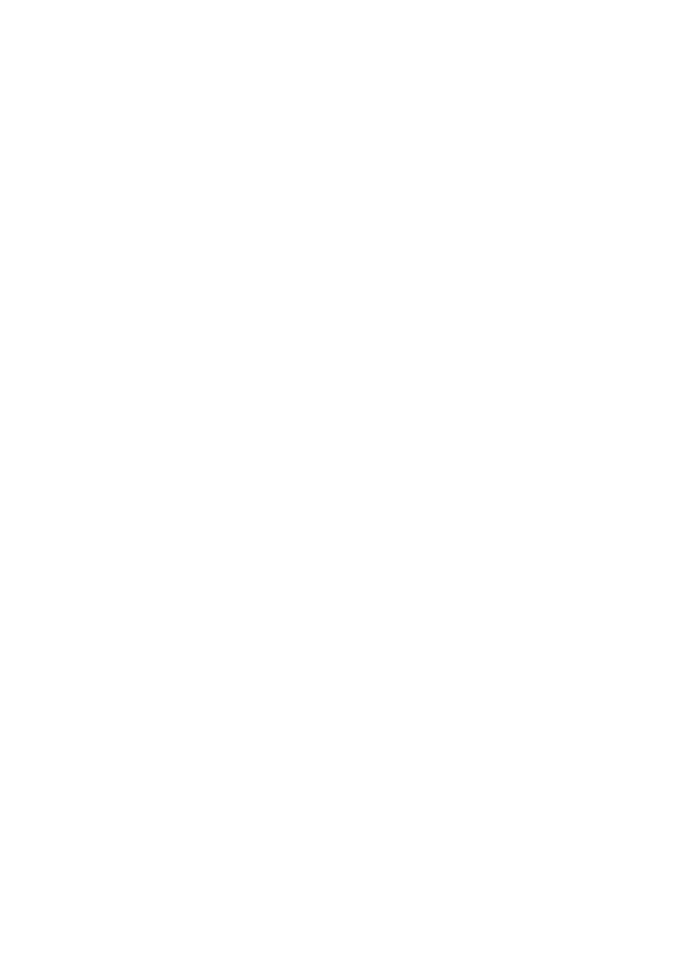| ---- |  |
|------|--|
|      |  |
|      |  |
|      |  |
|      |  |
|      |  |
|      |  |
|      |  |
|      |  |
|      |  |
|      |  |
|      |  |
|      |  |
|      |  |
|      |  |
|      |  |
|      |  |
|      |  |
|      |  |
|      |  |
|      |  |
|      |  |
|      |  |
|      |  |
|      |  |
|      |  |
|      |  |
|      |  |
|      |  |
|      |  |
|      |  |
|      |  |
|      |  |
|      |  |
|      |  |
|      |  |
|      |  |
|      |  |
|      |  |
|      |  |
|      |  |
|      |  |
|      |  |
|      |  |
|      |  |
|      |  |
|      |  |
|      |  |
|      |  |
|      |  |
|      |  |
|      |  |
|      |  |
|      |  |
|      |  |
|      |  |
|      |  |
|      |  |
|      |  |

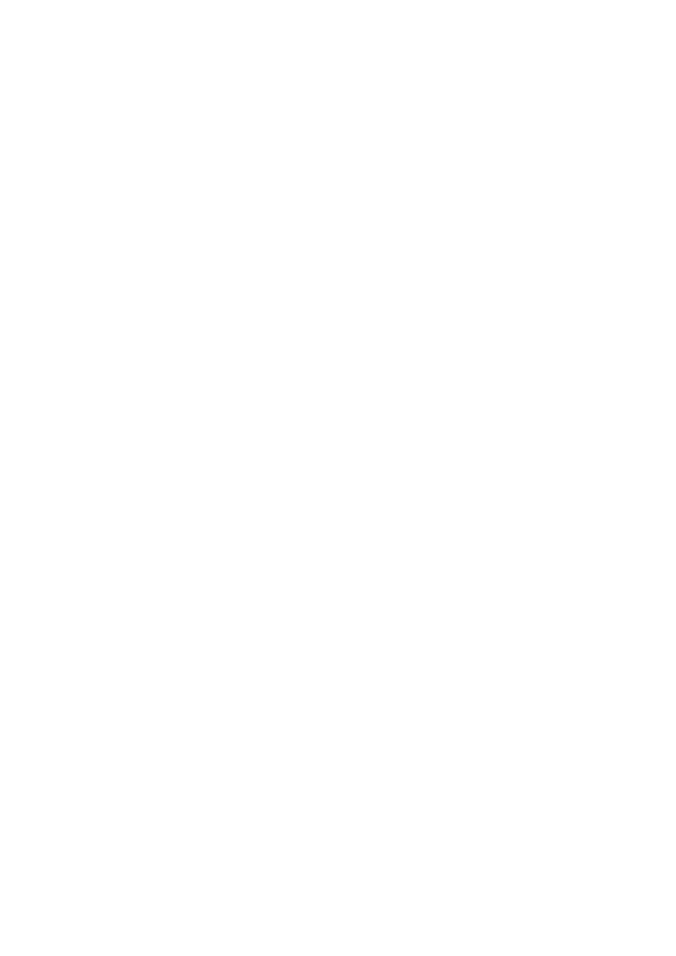| ---- |  |
|------|--|
|      |  |
|      |  |
|      |  |
|      |  |
|      |  |
|      |  |
|      |  |
|      |  |
|      |  |
|      |  |
|      |  |
|      |  |
|      |  |
|      |  |
|      |  |
|      |  |
|      |  |
|      |  |
|      |  |
|      |  |
|      |  |
|      |  |
|      |  |
|      |  |
|      |  |
|      |  |
|      |  |
|      |  |
|      |  |
|      |  |
|      |  |
|      |  |
|      |  |
|      |  |
|      |  |
|      |  |
|      |  |
|      |  |
|      |  |
|      |  |
|      |  |
|      |  |
|      |  |
|      |  |
|      |  |
|      |  |
|      |  |
|      |  |
|      |  |
|      |  |
|      |  |
|      |  |
|      |  |
|      |  |
|      |  |
|      |  |
|      |  |
|      |  |